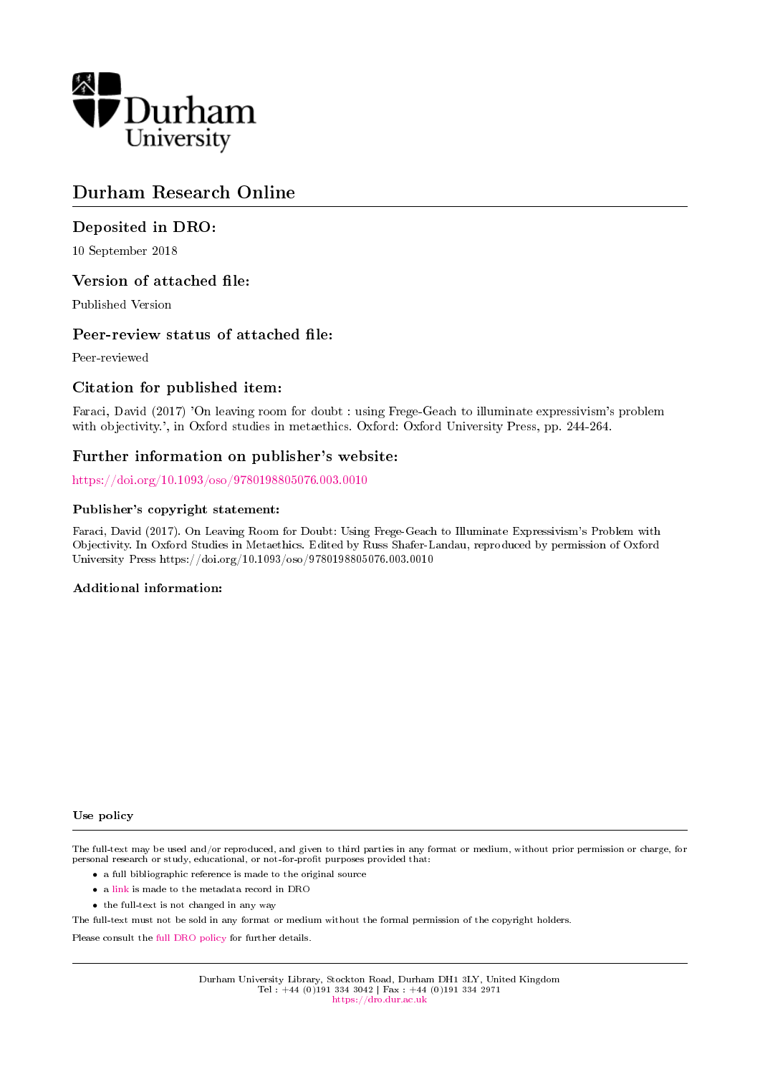

# Durham Research Online

# Deposited in DRO:

10 September 2018

## Version of attached file:

Published Version

# Peer-review status of attached file:

Peer-reviewed

# Citation for published item:

Faraci, David (2017) 'On leaving room for doubt : using Frege-Geach to illuminate expressivism's problem with objectivity.', in Oxford studies in metaethics. Oxford: Oxford University Press, pp. 244-264.

# Further information on publisher's website:

<https://doi.org/10.1093/oso/9780198805076.003.0010>

### Publisher's copyright statement:

Faraci, David (2017). On Leaving Room for Doubt: Using Frege-Geach to Illuminate Expressivism's Problem with Objectivity. In Oxford Studies in Metaethics. Edited by Russ Shafer-Landau, reproduced by permission of Oxford University Press https://doi.org/10.1093/oso/9780198805076.003.0010

## Additional information:

Use policy

The full-text may be used and/or reproduced, and given to third parties in any format or medium, without prior permission or charge, for personal research or study, educational, or not-for-profit purposes provided that:

- a full bibliographic reference is made to the original source
- a [link](http://dro.dur.ac.uk/26081/) is made to the metadata record in DRO
- the full-text is not changed in any way

The full-text must not be sold in any format or medium without the formal permission of the copyright holders.

Please consult the [full DRO policy](https://dro.dur.ac.uk/policies/usepolicy.pdf) for further details.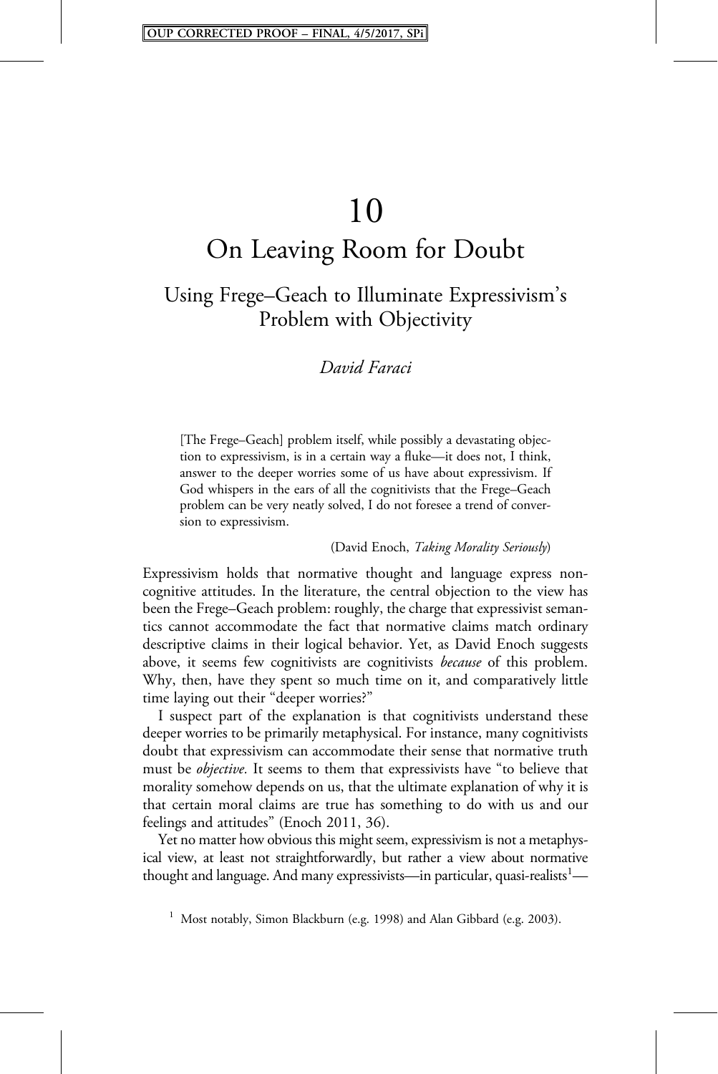# On Leaving Room for Doubt

# Using Frege–Geach to Illuminate Expressivism's Problem with Objectivity

### *David Faraci*

[The Frege–Geach] problem itself, while possibly a devastating objection to expressivism, is in a certain way a fluke—it does not, I think, answer to the deeper worries some of us have about expressivism. If God whispers in the ears of all the cognitivists that the Frege–Geach problem can be very neatly solved, I do not foresee a trend of conversion to expressivism.

#### (David Enoch, *Taking Morality Seriously*)

Expressivism holds that normative thought and language express noncognitive attitudes. In the literature, the central objection to the view has been the Frege–Geach problem: roughly, the charge that expressivist semantics cannot accommodate the fact that normative claims match ordinary descriptive claims in their logical behavior. Yet, as David Enoch suggests above, it seems few cognitivists are cognitivists *because* of this problem. Why, then, have they spent so much time on it, and comparatively little time laying out their "deeper worries?"

I suspect part of the explanation is that cognitivists understand these deeper worries to be primarily metaphysical. For instance, many cognitivists doubt that expressivism can accommodate their sense that normative truth must be *objective.* It seems to them that expressivists have "to believe that morality somehow depends on us, that the ultimate explanation of why it is that certain moral claims are true has something to do with us and our feelings and attitudes" (Enoch 2011, 36).

Yet no matter how obvious this might seem, expressivism is not a metaphysical view, at least not straightforwardly, but rather a view about normative thought and language. And many expressivists—in particular, quasi-realists<sup>1</sup>—

<sup>&</sup>lt;sup>1</sup> Most notably, Simon Blackburn (e.g. 1998) and Alan Gibbard (e.g. 2003).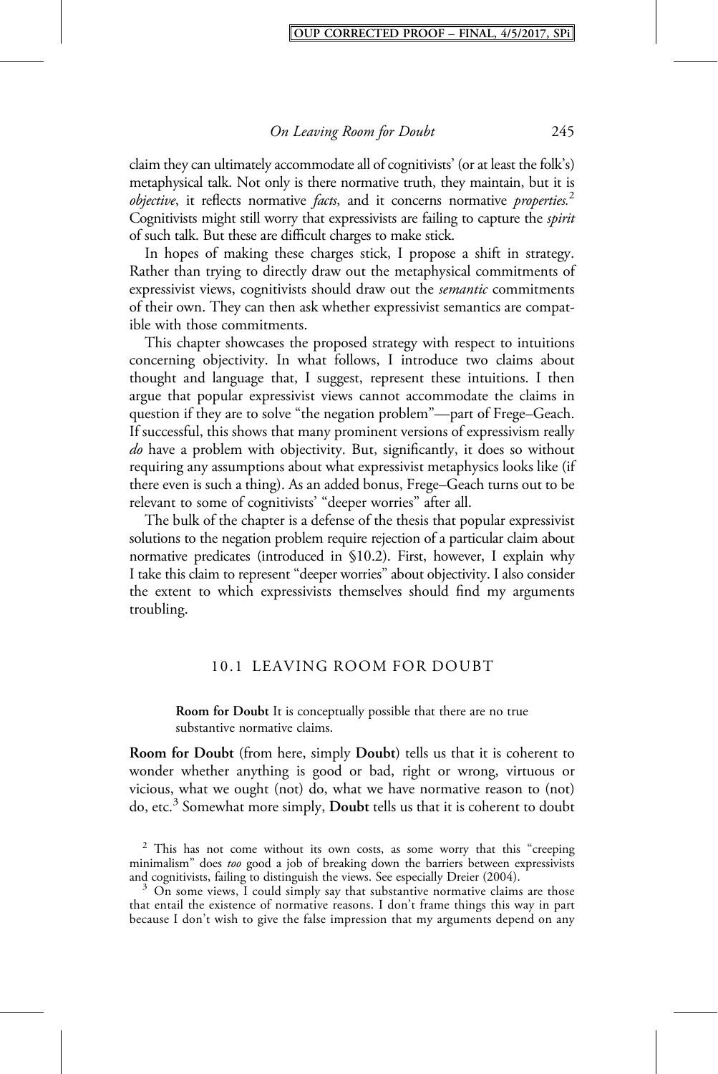claim they can ultimately accommodate all of cognitivists' (or at least the folk's) metaphysical talk. Not only is there normative truth, they maintain, but it is *objective*, it reflects normative *facts*, and it concerns normative *properties.*<sup>2</sup> Cognitivists might still worry that expressivists are failing to capture the *spirit* of such talk. But these are difficult charges to make stick.

In hopes of making these charges stick, I propose a shift in strategy. Rather than trying to directly draw out the metaphysical commitments of expressivist views, cognitivists should draw out the *semantic* commitments of their own. They can then ask whether expressivist semantics are compatible with those commitments.

This chapter showcases the proposed strategy with respect to intuitions concerning objectivity. In what follows, I introduce two claims about thought and language that, I suggest, represent these intuitions. I then argue that popular expressivist views cannot accommodate the claims in question if they are to solve "the negation problem"—part of Frege–Geach. If successful, this shows that many prominent versions of expressivism really *do* have a problem with objectivity. But, significantly, it does so without requiring any assumptions about what expressivist metaphysics looks like (if there even is such a thing). As an added bonus, Frege–Geach turns out to be relevant to some of cognitivists' "deeper worries" after all.

The bulk of the chapter is a defense of the thesis that popular expressivist solutions to the negation problem require rejection of a particular claim about normative predicates (introduced in §10.2). First, however, I explain why I take this claim to represent "deeper worries" about objectivity. I also consider the extent to which expressivists themselves should find my arguments troubling.

#### 10.1 LEAVING ROOM FOR DOUBT

**Room for Doubt** It is conceptually possible that there are no true substantive normative claims.

**Room for Doubt** (from here, simply **Doubt**) tells us that it is coherent to wonder whether anything is good or bad, right or wrong, virtuous or vicious, what we ought (not) do, what we have normative reason to (not) do, etc.<sup>3</sup> Somewhat more simply, **Doubt** tells us that it is coherent to doubt

<sup>&</sup>lt;sup>2</sup> This has not come without its own costs, as some worry that this "creeping minimalism" does *too* good a job of breaking down the barriers between expressivists and cognitivists, failing to distinguish the views. See especially Dreier (2004).

 $3$  On some views, I could simply say that substantive normative claims are those that entail the existence of normative reasons. I don't frame things this way in part because I don't wish to give the false impression that my arguments depend on any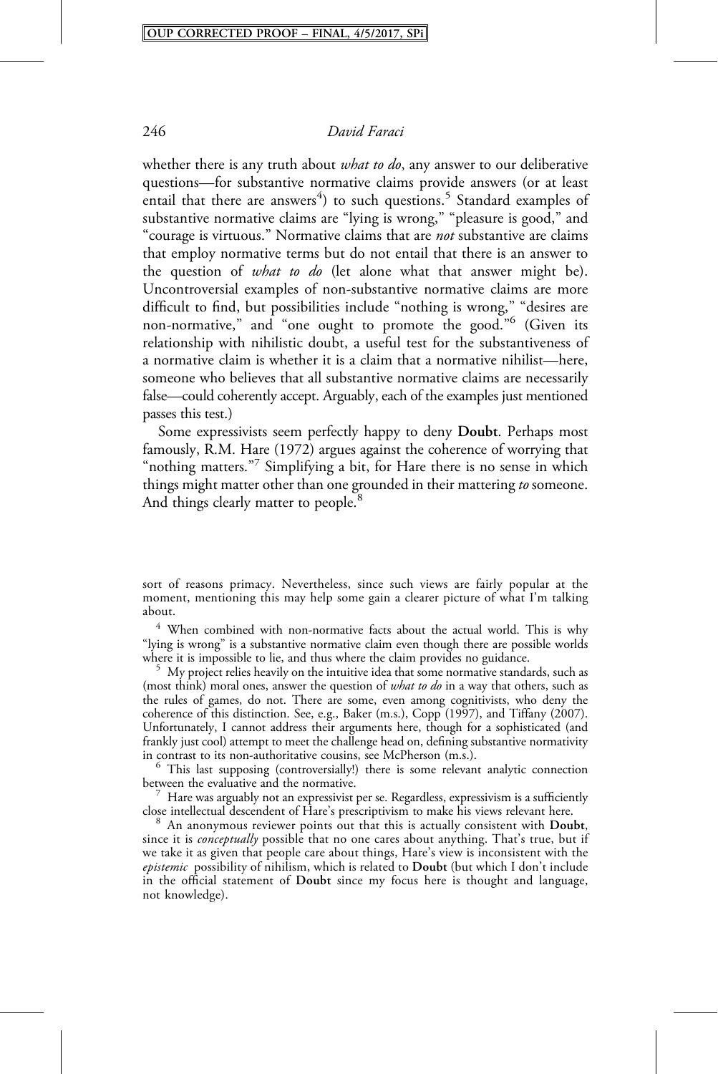whether there is any truth about *what to do*, any answer to our deliberative questions—for substantive normative claims provide answers (or at least entail that there are answers<sup>4</sup>) to such questions.<sup>5</sup> Standard examples of substantive normative claims are "lying is wrong," "pleasure is good," and "courage is virtuous." Normative claims that are *not* substantive are claims that employ normative terms but do not entail that there is an answer to the question of *what to do* (let alone what that answer might be). Uncontroversial examples of non-substantive normative claims are more difficult to find, but possibilities include "nothing is wrong," "desires are non-normative," and "one ought to promote the good." <sup>6</sup> (Given its relationship with nihilistic doubt, a useful test for the substantiveness of a normative claim is whether it is a claim that a normative nihilist—here, someone who believes that all substantive normative claims are necessarily false—could coherently accept. Arguably, each of the examples just mentioned passes this test.)

Some expressivists seem perfectly happy to deny **Doubt**. Perhaps most famously, R.M. Hare (1972) argues against the coherence of worrying that "nothing matters."<sup>7</sup> Simplifying a bit, for Hare there is no sense in which things might matter other than one grounded in their mattering *to* someone. And things clearly matter to people.<sup>8</sup>

sort of reasons primacy. Nevertheless, since such views are fairly popular at the moment, mentioning this may help some gain a clearer picture of what I'm talking about.

<sup>4</sup> When combined with non-normative facts about the actual world. This is why "lying is wrong" is a substantive normative claim even though there are possible worlds

 $5$  My project relies heavily on the intuitive idea that some normative standards, such as (most think) moral ones, answer the question of *what to do* in a way that others, such as the rules of games, do not. There are some, even among cognitivists, who deny the coherence of this distinction. See, e.g., Baker (m.s.), Copp (1997), and Tiffany (2007). Unfortunately, I cannot address their arguments here, though for a sophisticated (and frankly just cool) attempt to meet the challenge head on, defining substantive normativity<br>in contrast to its non-authoritative cousins, see McPherson (m.s.).

 $\frac{6}{10}$  This last supposing (controversially!) there is some relevant analytic connection between the evaluative and the normative.

 $^7$  Hare was arguably not an expressivist per se. Regardless, expressivism is a sufficiently close intellectual descendent of Hare's prescriptivism to make his views relevant here.

<sup>8</sup> An anonymous reviewer points out that this is actually consistent with **Doubt**, since it is *conceptually* possible that no one cares about anything. That's true, but if we take it as given that people care about things, Hare's view is inconsistent with the *epistemic* possibility of nihilism, which is related to **Doubt** (but which I don't include in the official statement of **Doubt** since my focus here is thought and language, not knowledge).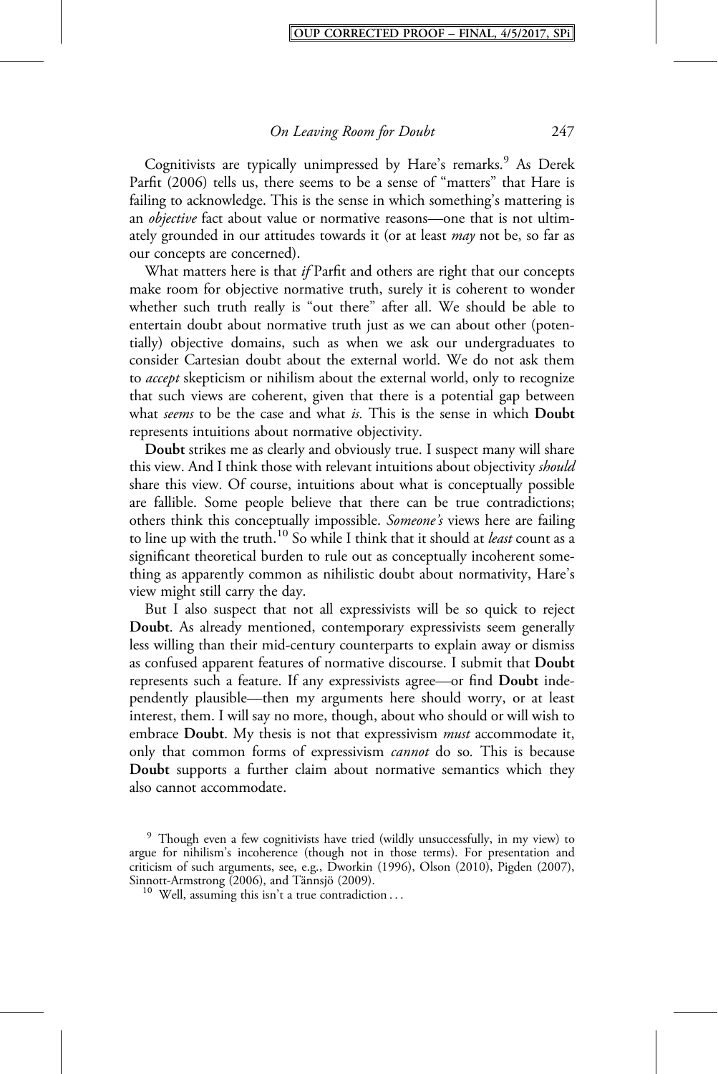Cognitivists are typically unimpressed by Hare's remarks.<sup>9</sup> As Derek Parfit (2006) tells us, there seems to be a sense of "matters" that Hare is failing to acknowledge. This is the sense in which something's mattering is an *objective* fact about value or normative reasons—one that is not ultimately grounded in our attitudes towards it (or at least *may* not be, so far as our concepts are concerned).

What matters here is that *if* Parfit and others are right that our concepts make room for objective normative truth, surely it is coherent to wonder whether such truth really is "out there" after all. We should be able to entertain doubt about normative truth just as we can about other (potentially) objective domains, such as when we ask our undergraduates to consider Cartesian doubt about the external world. We do not ask them to *accept* skepticism or nihilism about the external world, only to recognize that such views are coherent, given that there is a potential gap between what *seems* to be the case and what *is.* This is the sense in which **Doubt** represents intuitions about normative objectivity.

**Doubt** strikes me as clearly and obviously true. I suspect many will share this view. And I think those with relevant intuitions about objectivity *should* share this view. Of course, intuitions about what is conceptually possible are fallible. Some people believe that there can be true contradictions; others think this conceptually impossible. *Someone's* views here are failing to line up with the truth.<sup>10</sup> So while I think that it should at *least* count as a significant theoretical burden to rule out as conceptually incoherent something as apparently common as nihilistic doubt about normativity, Hare's view might still carry the day.

But I also suspect that not all expressivists will be so quick to reject **Doubt**. As already mentioned, contemporary expressivists seem generally less willing than their mid-century counterparts to explain away or dismiss as confused apparent features of normative discourse. I submit that **Doubt** represents such a feature. If any expressivists agree—or find **Doubt** independently plausible—then my arguments here should worry, or at least interest, them. I will say no more, though, about who should or will wish to embrace **Doubt**. My thesis is not that expressivism *must* accommodate it, only that common forms of expressivism *cannot* do so*.* This is because **Doubt** supports a further claim about normative semantics which they also cannot accommodate.

<sup>9</sup> Though even a few cognitivists have tried (wildly unsuccessfully, in my view) to argue for nihilism's incoherence (though not in those terms). For presentation and criticism of such arguments, see, e.g., Dworkin (1996), Olson (2010), Pigden (2007), Sinnott-Armstrong (2006), and Tännsjö (2009).

 $10$  Well, assuming this isn't a true contradiction . . .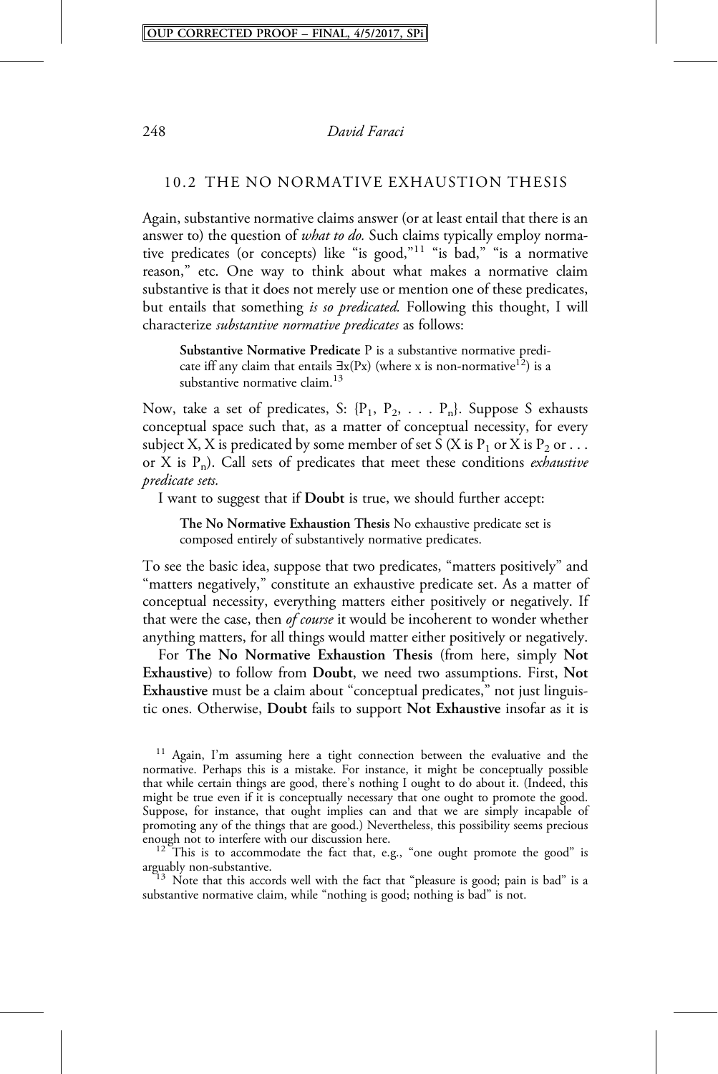#### 10.2 THE NO NORMATIVE EXHAUSTION THESIS

Again, substantive normative claims answer (or at least entail that there is an answer to) the question of *what to do*. Such claims typically employ normative predicates (or concepts) like "is good,"<sup>11</sup> "is bad," "is a normative reason," etc. One way to think about what makes a normative claim substantive is that it does not merely use or mention one of these predicates, but entails that something *is so predicated.* Following this thought, I will characterize *substantive normative predicates* as follows:

**Substantive Normative Predicate** P is a substantive normative predicate iff any claim that entails  $\exists x(Px)$  (where x is non-normative<sup>12</sup>) is a substantive normative claim.<sup>13</sup>

Now, take a set of predicates, S:  $\{P_1, P_2, \ldots, P_n\}$ . Suppose S exhausts conceptual space such that, as a matter of conceptual necessity, for every subject X, X is predicated by some member of set S (X is  $P_1$  or X is  $P_2$  or  $\dots$ or X is Pn). Call sets of predicates that meet these conditions *exhaustive predicate sets.*

I want to suggest that if **Doubt** is true, we should further accept:

**The No Normative Exhaustion Thesis** No exhaustive predicate set is composed entirely of substantively normative predicates.

To see the basic idea, suppose that two predicates, "matters positively" and "matters negatively," constitute an exhaustive predicate set. As a matter of conceptual necessity, everything matters either positively or negatively. If that were the case, then *of course* it would be incoherent to wonder whether anything matters, for all things would matter either positively or negatively.

For **The No Normative Exhaustion Thesis** (from here, simply **Not Exhaustive**) to follow from **Doubt**, we need two assumptions. First, **Not Exhaustive** must be a claim about "conceptual predicates," not just linguistic ones. Otherwise, **Doubt** fails to support **Not Exhaustive** insofar as it is

<sup>11</sup> Again, I'm assuming here a tight connection between the evaluative and the normative. Perhaps this is a mistake. For instance, it might be conceptually possible that while certain things are good, there's nothing I ought to do about it. (Indeed, this might be true even if it is conceptually necessary that one ought to promote the good. Suppose, for instance, that ought implies can and that we are simply incapable of promoting any of the things that are good.) Nevertheless, this possibility seems precious

 $12$ <sup>2</sup>This is to accommodate the fact that, e.g., "one ought promote the good" is arguably non-substantive.

 $13$  Note that this accords well with the fact that "pleasure is good; pain is bad" is a substantive normative claim, while "nothing is good; nothing is bad" is not.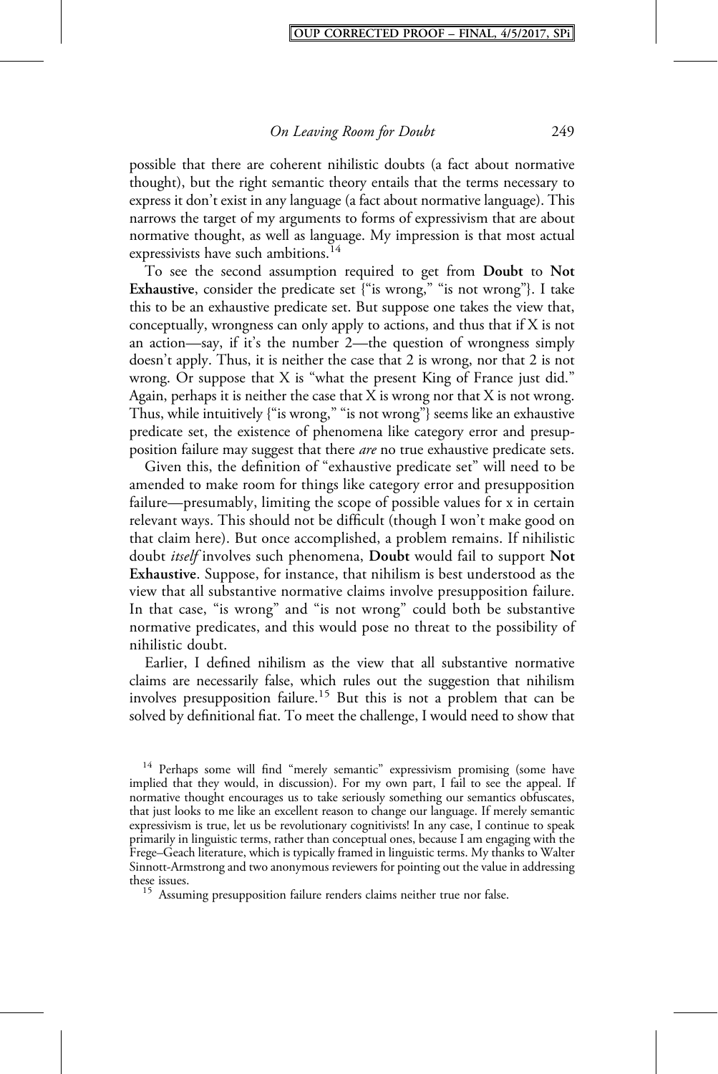possible that there are coherent nihilistic doubts (a fact about normative thought), but the right semantic theory entails that the terms necessary to express it don't exist in any language (a fact about normative language). This narrows the target of my arguments to forms of expressivism that are about normative thought, as well as language. My impression is that most actual expressivists have such ambitions.<sup>14</sup>

To see the second assumption required to get from **Doubt** to **Not Exhaustive**, consider the predicate set {"is wrong," "is not wrong"}. I take this to be an exhaustive predicate set. But suppose one takes the view that, conceptually, wrongness can only apply to actions, and thus that if X is not an action—say, if it's the number 2—the question of wrongness simply doesn't apply. Thus, it is neither the case that 2 is wrong, nor that 2 is not wrong. Or suppose that X is "what the present King of France just did." Again, perhaps it is neither the case that  $X$  is wrong nor that  $X$  is not wrong. Thus, while intuitively {"is wrong," "is not wrong"} seems like an exhaustive predicate set, the existence of phenomena like category error and presupposition failure may suggest that there *are* no true exhaustive predicate sets.

Given this, the definition of "exhaustive predicate set" will need to be amended to make room for things like category error and presupposition failure—presumably, limiting the scope of possible values for x in certain relevant ways. This should not be difficult (though I won't make good on that claim here). But once accomplished, a problem remains. If nihilistic doubt *itself* involves such phenomena, **Doubt** would fail to support **Not Exhaustive**. Suppose, for instance, that nihilism is best understood as the view that all substantive normative claims involve presupposition failure. In that case, "is wrong" and "is not wrong" could both be substantive normative predicates, and this would pose no threat to the possibility of nihilistic doubt.

Earlier, I defined nihilism as the view that all substantive normative claims are necessarily false, which rules out the suggestion that nihilism involves presupposition failure.<sup>15</sup> But this is not a problem that can be solved by definitional fiat. To meet the challenge, I would need to show that

<sup>14</sup> Perhaps some will find "merely semantic" expressivism promising (some have implied that they would, in discussion). For my own part, I fail to see the appeal. If normative thought encourages us to take seriously something our semantics obfuscates, that just looks to me like an excellent reason to change our language. If merely semantic expressivism is true, let us be revolutionary cognitivists! In any case, I continue to speak primarily in linguistic terms, rather than conceptual ones, because I am engaging with the Frege–Geach literature, which is typically framed in linguistic terms. My thanks to Walter Sinnott-Armstrong and two anonymous reviewers for pointing out the value in addressing

 $15$  Assuming presupposition failure renders claims neither true nor false.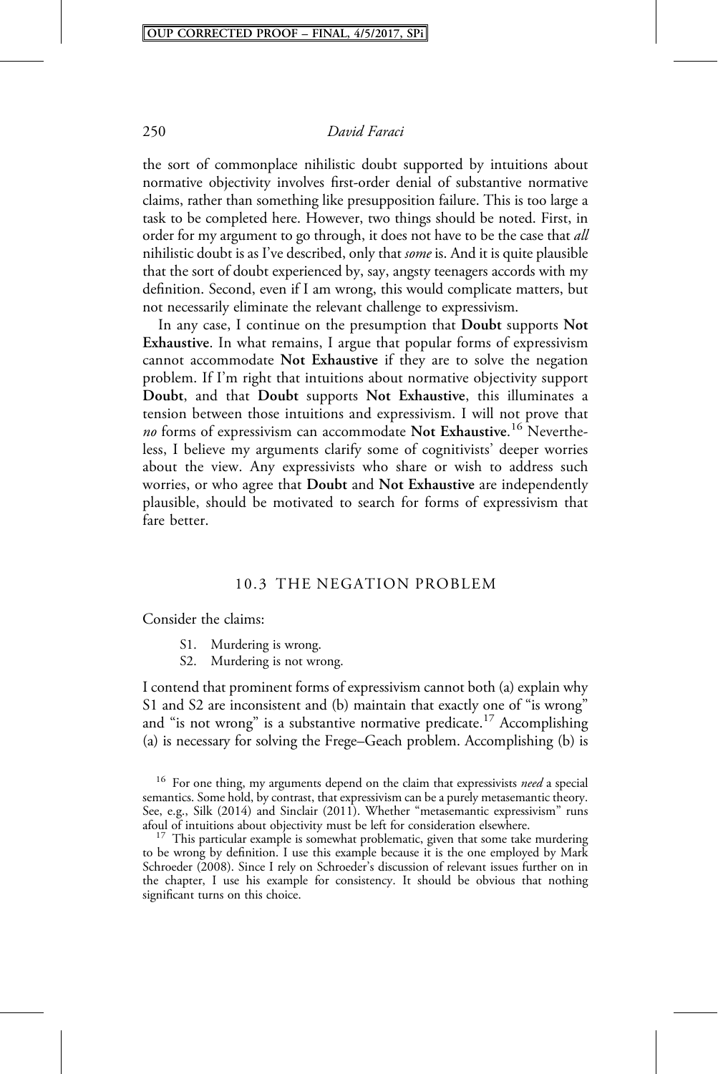the sort of commonplace nihilistic doubt supported by intuitions about normative objectivity involves first-order denial of substantive normative claims, rather than something like presupposition failure. This is too large a task to be completed here. However, two things should be noted. First, in order for my argument to go through, it does not have to be the case that *all* nihilistic doubt is as I've described, only that *some* is. And it is quite plausible that the sort of doubt experienced by, say, angsty teenagers accords with my definition. Second, even if I am wrong, this would complicate matters, but not necessarily eliminate the relevant challenge to expressivism.

In any case, I continue on the presumption that **Doubt** supports **Not Exhaustive**. In what remains, I argue that popular forms of expressivism cannot accommodate **Not Exhaustive** if they are to solve the negation problem. If I'm right that intuitions about normative objectivity support **Doubt**, and that **Doubt** supports **Not Exhaustive**, this illuminates a tension between those intuitions and expressivism. I will not prove that *no* forms of expressivism can accommodate **Not Exhaustive**. <sup>16</sup> Nevertheless, I believe my arguments clarify some of cognitivists' deeper worries about the view. Any expressivists who share or wish to address such worries, or who agree that **Doubt** and **Not Exhaustive** are independently plausible, should be motivated to search for forms of expressivism that fare better.

#### 10.3 THE NEGATION PROBLEM

Consider the claims:

- S1. Murdering is wrong.
- S2. Murdering is not wrong.

I contend that prominent forms of expressivism cannot both (a) explain why S1 and S2 are inconsistent and (b) maintain that exactly one of "is wrong" and "is not wrong" is a substantive normative predicate.<sup>17</sup> Accomplishing (a) is necessary for solving the Frege–Geach problem. Accomplishing (b) is

<sup>16</sup> For one thing, my arguments depend on the claim that expressivists *need* a special semantics. Some hold, by contrast, that expressivism can be a purely metasemantic theory. See, e.g., Silk (2014) and Sinclair (2011). Whether "metasemantic expressivism" runs afoul of intuitions about objectivity must be left for consideration elsewhere.

 $17$  This particular example is somewhat problematic, given that some take murdering to be wrong by definition. I use this example because it is the one employed by Mark Schroeder (2008). Since I rely on Schroeder's discussion of relevant issues further on in the chapter, I use his example for consistency. It should be obvious that nothing significant turns on this choice.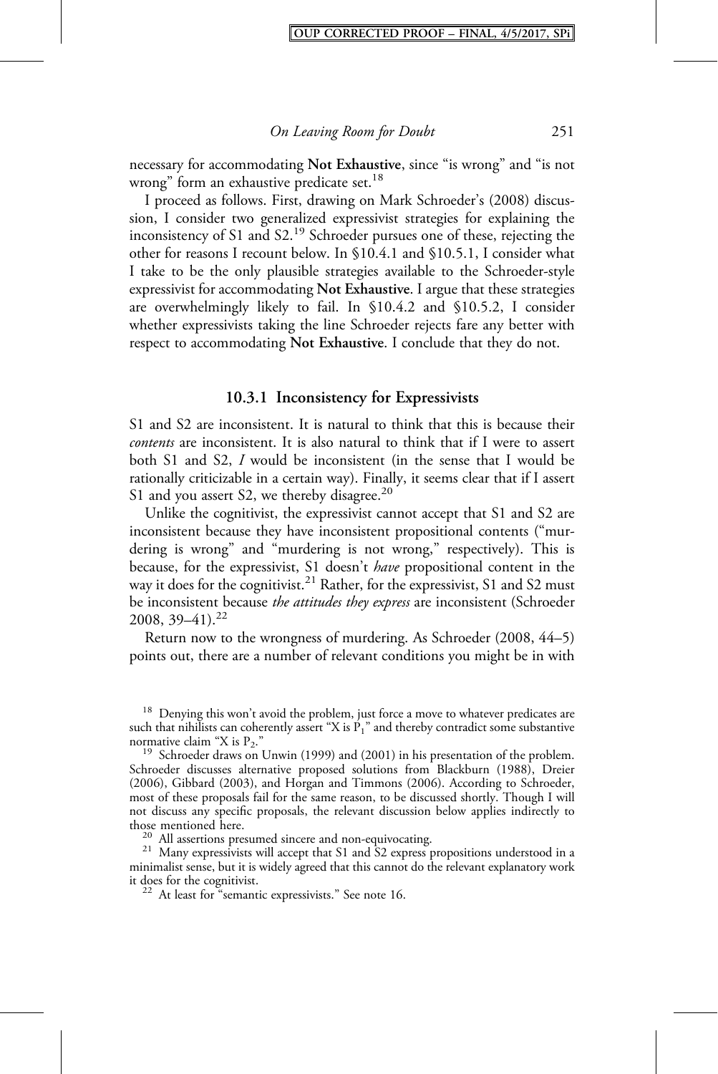necessary for accommodating **Not Exhaustive**, since "is wrong" and "is not wrong" form an exhaustive predicate set.<sup>18</sup>

I proceed as follows. First, drawing on Mark Schroeder's (2008) discussion, I consider two generalized expressivist strategies for explaining the inconsistency of S1 and S2.<sup>19</sup> Schroeder pursues one of these, rejecting the other for reasons I recount below. In §10.4.1 and §10.5.1, I consider what I take to be the only plausible strategies available to the Schroeder-style expressivist for accommodating **Not Exhaustive**. I argue that these strategies are overwhelmingly likely to fail. In §10.4.2 and §10.5.2, I consider whether expressivists taking the line Schroeder rejects fare any better with respect to accommodating **Not Exhaustive**. I conclude that they do not.

#### **10.3.1 Inconsistency for Expressivists**

S1 and S2 are inconsistent. It is natural to think that this is because their *contents* are inconsistent. It is also natural to think that if I were to assert both S1 and S2, *I* would be inconsistent (in the sense that I would be rationally criticizable in a certain way). Finally, it seems clear that if I assert S1 and you assert S2, we thereby disagree.<sup>20</sup>

Unlike the cognitivist, the expressivist cannot accept that S1 and S2 are inconsistent because they have inconsistent propositional contents ("murdering is wrong" and "murdering is not wrong," respectively). This is because, for the expressivist, S1 doesn't *have* propositional content in the way it does for the cognitivist.<sup>21</sup> Rather, for the expressivist, S1 and S2 must be inconsistent because *the attitudes they express* are inconsistent (Schroeder 2008,  $39-41$ .<sup>22</sup>

Return now to the wrongness of murdering. As Schroeder (2008, 44–5) points out, there are a number of relevant conditions you might be in with

<sup>18</sup> Denying this won't avoid the problem, just force a move to whatever predicates are such that nihilists can coherently assert "X is  $\hat{P}_1$ " and thereby contradict some substantive normative claim "X is  $P_2$ ."

<sup>19</sup> Schroeder draws on Unwin (1999) and (2001) in his presentation of the problem. Schroeder discusses alternative proposed solutions from Blackburn (1988), Dreier (2006), Gibbard (2003), and Horgan and Timmons (2006). According to Schroeder, most of these proposals fail for the same reason, to be discussed shortly. Though I will not discuss any specific proposals, the relevant discussion below applies indirectly to those mentioned here.<br><sup>20</sup> All assertions presumed sincere and non-equivocating.<br><sup>21</sup> Many expressivists will accept that S1 and S2 express propositions understood in a

minimalist sense, but it is widely agreed that this cannot do the relevant explanatory work

 $22$  At least for "semantic expressivists." See note 16.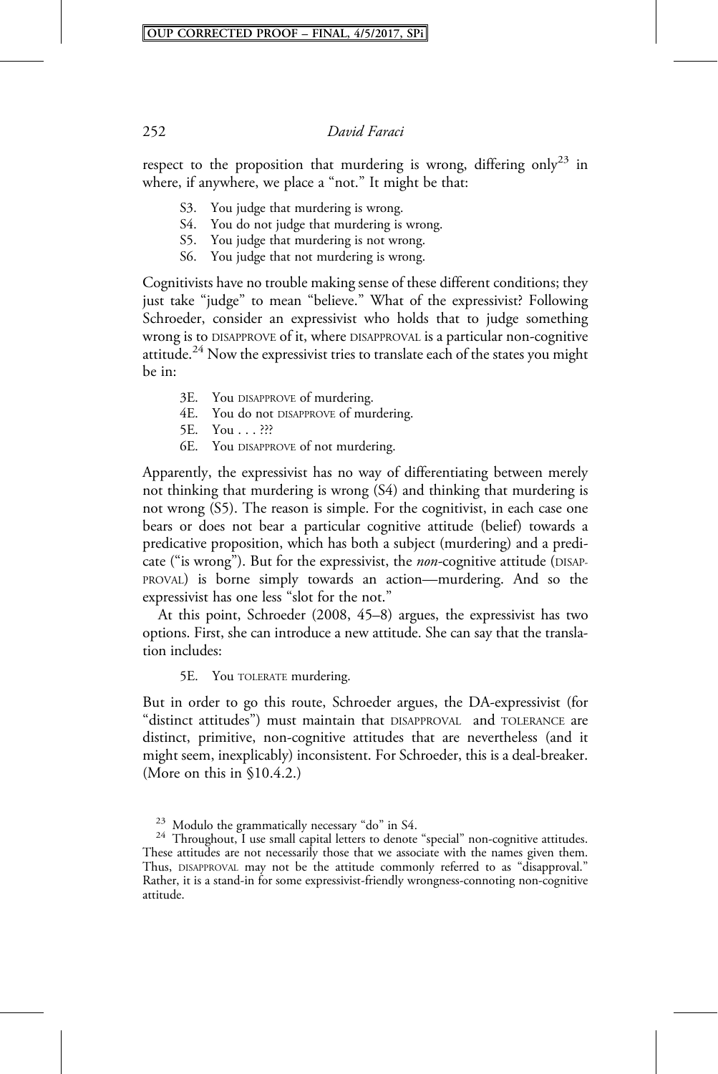respect to the proposition that murdering is wrong, differing only<sup>23</sup> in where, if anywhere, we place a "not." It might be that:

- S3. You judge that murdering is wrong.
- S4. You do not judge that murdering is wrong.
- S5. You judge that murdering is not wrong.
- S6. You judge that not murdering is wrong.

Cognitivists have no trouble making sense of these different conditions; they just take "judge" to mean "believe." What of the expressivist? Following Schroeder, consider an expressivist who holds that to judge something wrong is to DISAPPROVE of it, where DISAPPROVAL is a particular non-cognitive attitude.<sup>24</sup> Now the expressivist tries to translate each of the states you might be in:

- 3E. You DISAPPROVE of murdering.
- 4E. You do not DISAPPROVE of murdering.
- 5E. You . . . ???
- 6E. You DISAPPROVE of not murdering.

Apparently, the expressivist has no way of differentiating between merely not thinking that murdering is wrong (S4) and thinking that murdering is not wrong (S5). The reason is simple. For the cognitivist, in each case one bears or does not bear a particular cognitive attitude (belief) towards a predicative proposition, which has both a subject (murdering) and a predicate ("is wrong"). But for the expressivist, the *non-*cognitive attitude (DISAP-PROVAL) is borne simply towards an action—murdering. And so the expressivist has one less "slot for the not."

At this point, Schroeder (2008, 45–8) argues, the expressivist has two options. First, she can introduce a new attitude. She can say that the translation includes:

5E. You TOLERATE murdering.

But in order to go this route, Schroeder argues, the DA-expressivist (for "distinct attitudes") must maintain that DISAPPROVAL and TOLERANCE are distinct, primitive, non-cognitive attitudes that are nevertheless (and it might seem, inexplicably) inconsistent. For Schroeder, this is a deal-breaker. (More on this in §10.4.2.)

<sup>&</sup>lt;sup>23</sup> Modulo the grammatically necessary "do" in S4.<br><sup>24</sup> Throughout, I use small capital letters to denote "special" non-cognitive attitudes. These attitudes are not necessarily those that we associate with the names given them. Thus, DISAPPROVAL may not be the attitude commonly referred to as "disapproval." Rather, it is a stand-in for some expressivist-friendly wrongness-connoting non-cognitive attitude.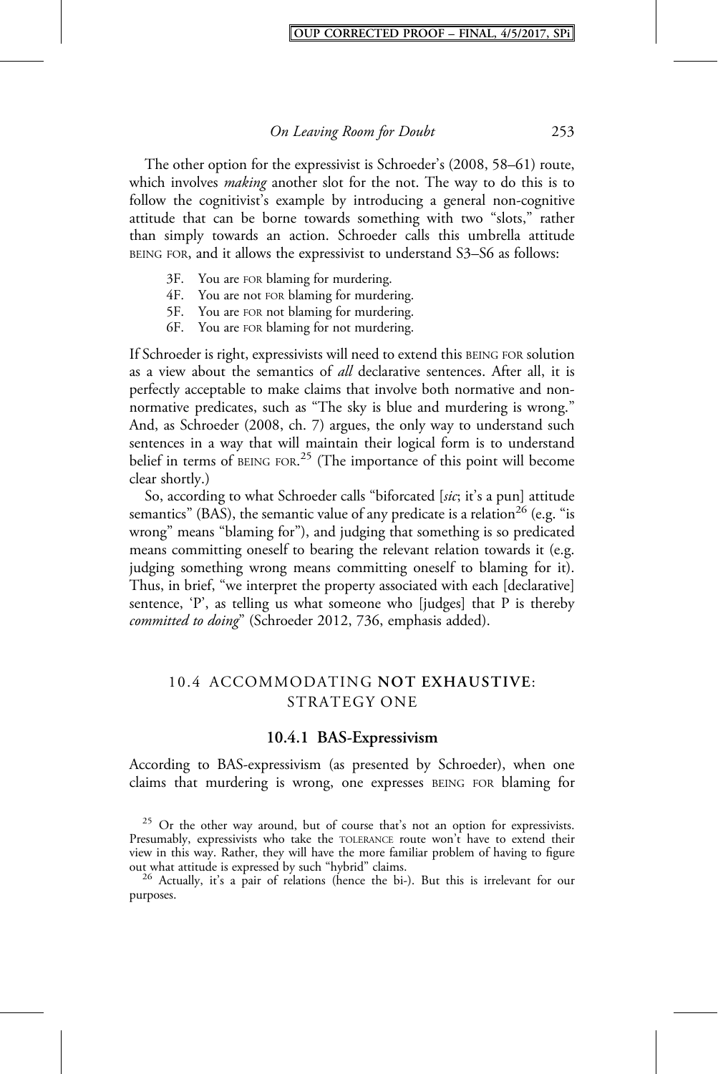The other option for the expressivist is Schroeder's (2008, 58–61) route, which involves *making* another slot for the not. The way to do this is to follow the cognitivist's example by introducing a general non-cognitive attitude that can be borne towards something with two "slots," rather than simply towards an action. Schroeder calls this umbrella attitude BEING FOR, and it allows the expressivist to understand S3–S6 as follows:

- 3F. You are FOR blaming for murdering.
- 4F. You are not FOR blaming for murdering.
- 5F. You are FOR not blaming for murdering.
- 6F. You are FOR blaming for not murdering.

If Schroeder is right, expressivists will need to extend this BEING FOR solution as a view about the semantics of *all* declarative sentences. After all, it is perfectly acceptable to make claims that involve both normative and nonnormative predicates, such as "The sky is blue and murdering is wrong." And, as Schroeder (2008, ch. 7) argues, the only way to understand such sentences in a way that will maintain their logical form is to understand belief in terms of BEING FOR.<sup>25</sup> (The importance of this point will become clear shortly.)

So, according to what Schroeder calls "biforcated [*sic*; it's a pun] attitude semantics" (BAS), the semantic value of any predicate is a relation<sup>26</sup> (e.g. "is wrong" means "blaming for"), and judging that something is so predicated means committing oneself to bearing the relevant relation towards it (e.g. judging something wrong means committing oneself to blaming for it). Thus, in brief, "we interpret the property associated with each [declarative] sentence, 'P', as telling us what someone who [judges] that P is thereby *committed to doing*" (Schroeder 2012, 736, emphasis added).

#### 10.4 ACCOMMODATING **NOT EXHAUSTIVE**: STRATEGY ONE

#### **10.4.1 BAS-Expressivism**

According to BAS-expressivism (as presented by Schroeder), when one claims that murdering is wrong, one expresses BEING FOR blaming for

<sup>&</sup>lt;sup>25</sup> Or the other way around, but of course that's not an option for expressivists. Presumably, expressivists who take the TOLERANCE route won't have to extend their view in this way. Rather, they will have the more familiar problem of having to figure out what attitude is expressed by such "hybrid" claims.

<sup>&</sup>lt;sup>26</sup> Actually, it's a pair of relations (hence the bi-). But this is irrelevant for our purposes.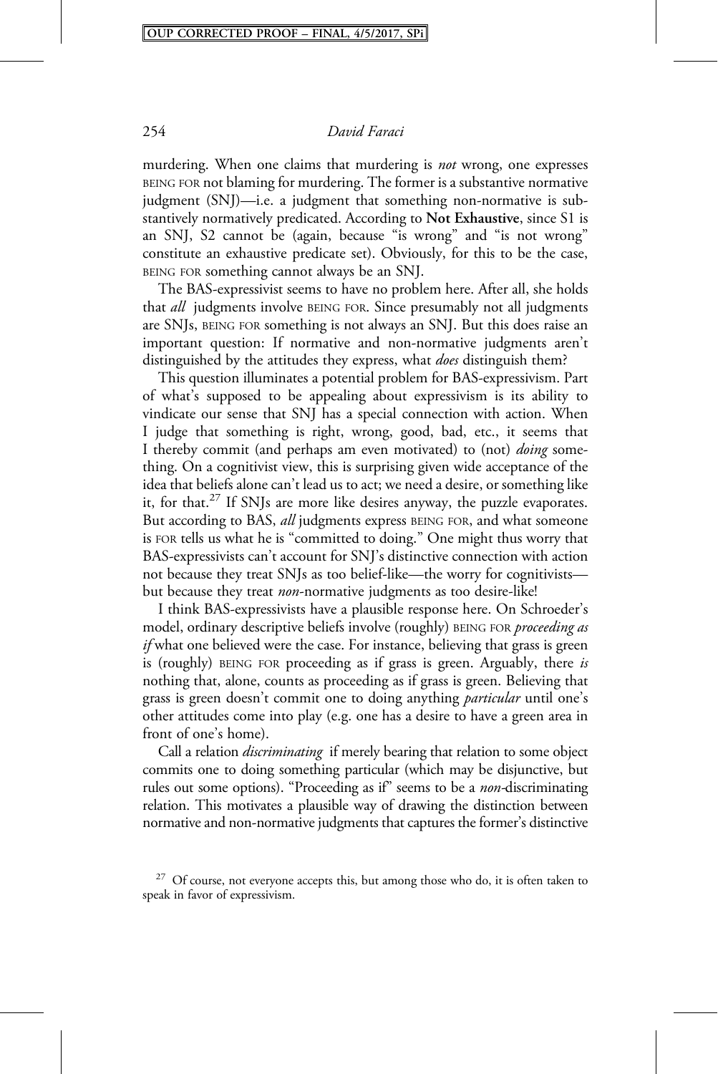murdering. When one claims that murdering is *not* wrong, one expresses BEING FOR not blaming for murdering. The former is a substantive normative judgment (SNJ)-i.e. a judgment that something non-normative is substantively normatively predicated. According to **Not Exhaustive**, since S1 is an SNJ, S2 cannot be (again, because "is wrong" and "is not wrong" constitute an exhaustive predicate set). Obviously, for this to be the case, BEING FOR something cannot always be an SNJ.

The BAS-expressivist seems to have no problem here. After all, she holds that *all* judgments involve BEING FOR. Since presumably not all judgments are SNJs, BEING FOR something is not always an SNJ. But this does raise an important question: If normative and non-normative judgments aren't distinguished by the attitudes they express, what *does* distinguish them?

This question illuminates a potential problem for BAS-expressivism. Part of what's supposed to be appealing about expressivism is its ability to vindicate our sense that SNJ has a special connection with action. When I judge that something is right, wrong, good, bad, etc., it seems that I thereby commit (and perhaps am even motivated) to (not) *doing* something. On a cognitivist view, this is surprising given wide acceptance of the idea that beliefs alone can't lead us to act; we need a desire, or something like it, for that.27 If SNJs are more like desires anyway, the puzzle evaporates. But according to BAS, *all* judgments express BEING FOR, and what someone is FOR tells us what he is "committed to doing." One might thus worry that BAS-expressivists can't account for SNJ's distinctive connection with action not because they treat SNJs as too belief-like—the worry for cognitivists but because they treat *non*-normative judgments as too desire-like!

I think BAS-expressivists have a plausible response here. On Schroeder's model, ordinary descriptive beliefs involve (roughly) BEING FOR *proceeding as if* what one believed were the case. For instance, believing that grass is green is (roughly) BEING FOR proceeding as if grass is green. Arguably, there *is* nothing that, alone, counts as proceeding as if grass is green. Believing that grass is green doesn't commit one to doing anything *particular* until one's other attitudes come into play (e.g. one has a desire to have a green area in front of one's home).

Call a relation *discriminating* if merely bearing that relation to some object commits one to doing something particular (which may be disjunctive, but rules out some options). "Proceeding as if" seems to be a *non-*discriminating relation. This motivates a plausible way of drawing the distinction between normative and non-normative judgments that captures the former's distinctive

 $27$  Of course, not everyone accepts this, but among those who do, it is often taken to speak in favor of expressivism.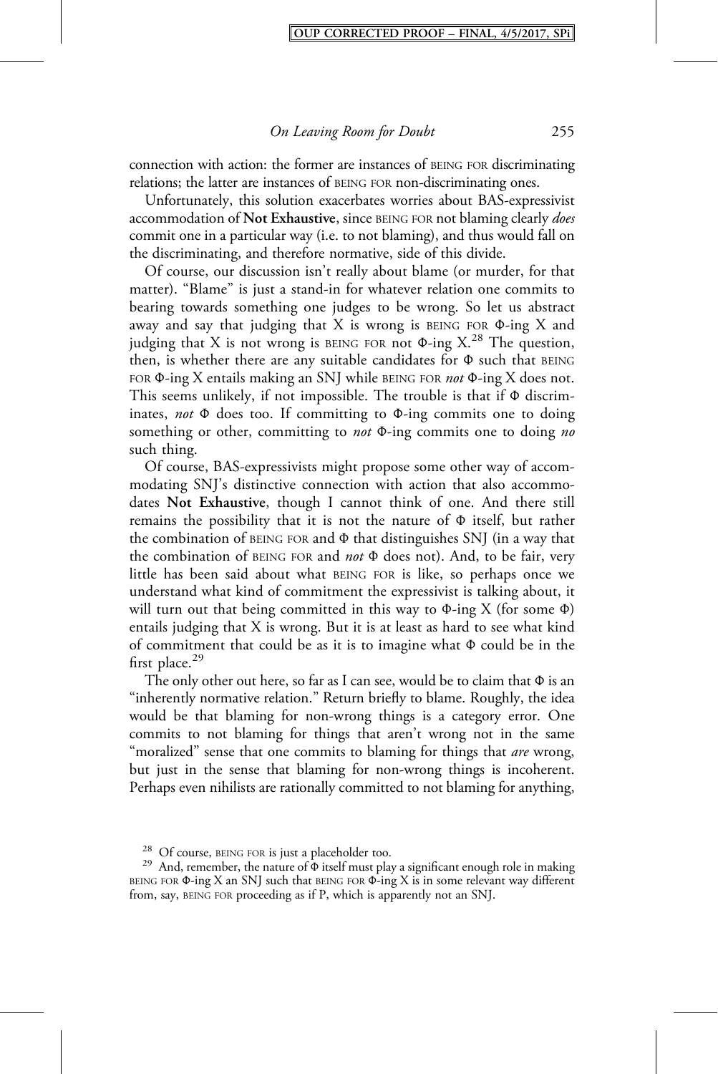connection with action: the former are instances of BEING FOR discriminating relations; the latter are instances of BEING FOR non-discriminating ones.

Unfortunately, this solution exacerbates worries about BAS-expressivist accommodation of **Not Exhaustive**, since BEING FOR not blaming clearly *does* commit one in a particular way (i.e. to not blaming), and thus would fall on the discriminating, and therefore normative, side of this divide.

Of course, our discussion isn't really about blame (or murder, for that matter). "Blame" is just a stand-in for whatever relation one commits to bearing towards something one judges to be wrong. So let us abstract away and say that judging that X is wrong is BEING FOR Φ-ing X and judging that X is not wrong is BEING FOR not  $\Phi$ -ing X.<sup>28</sup> The question, then, is whether there are any suitable candidates for Φ such that BEING FOR Φ-ing X entails making an SNJ while BEING FOR *not* Φ-ing X does not. This seems unlikely, if not impossible. The trouble is that if Φ discriminates, *not* Φ does too. If committing to Φ-ing commits one to doing something or other, committing to *not* Φ-ing commits one to doing *no* such thing.

Of course, BAS-expressivists might propose some other way of accommodating SNJ's distinctive connection with action that also accommodates **Not Exhaustive**, though I cannot think of one. And there still remains the possibility that it is not the nature of Φ itself, but rather the combination of BEING FOR and  $\Phi$  that distinguishes SNJ (in a way that the combination of BEING FOR and *not* Φ does not). And, to be fair, very little has been said about what BEING FOR is like, so perhaps once we understand what kind of commitment the expressivist is talking about, it will turn out that being committed in this way to  $\Phi$ -ing X (for some  $\Phi$ ) entails judging that X is wrong. But it is at least as hard to see what kind of commitment that could be as it is to imagine what Φ could be in the first place.<sup>29</sup>

The only other out here, so far as I can see, would be to claim that  $\Phi$  is an "inherently normative relation." Return briefly to blame. Roughly, the idea would be that blaming for non-wrong things is a category error. One commits to not blaming for things that aren't wrong not in the same "moralized" sense that one commits to blaming for things that *are* wrong, but just in the sense that blaming for non-wrong things is incoherent. Perhaps even nihilists are rationally committed to not blaming for anything,

<sup>&</sup>lt;sup>28</sup> Of course, BEING FOR is just a placeholder too.<br><sup>29</sup> And, remember, the nature of Φ itself must play a significant enough role in making BEING FOR Φ-ing X an SNJ such that BEING FOR Φ-ing X is in some relevant way different from, say, BEING FOR proceeding as if P, which is apparently not an SNJ.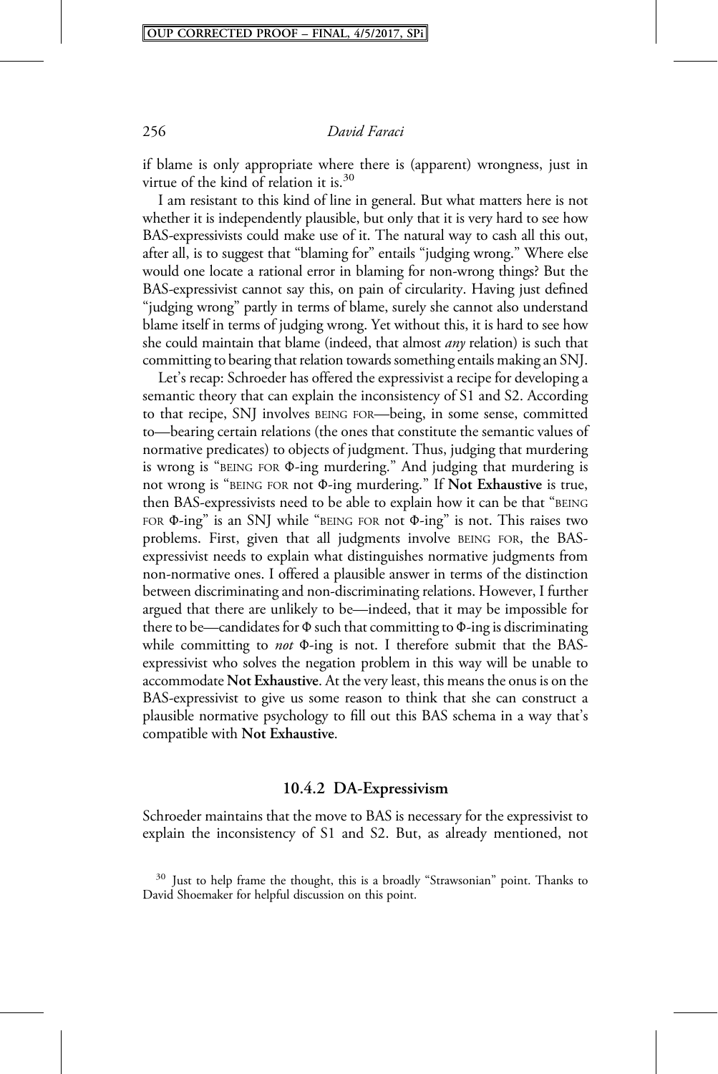if blame is only appropriate where there is (apparent) wrongness, just in virtue of the kind of relation it is.<sup>30</sup>

I am resistant to this kind of line in general. But what matters here is not whether it is independently plausible, but only that it is very hard to see how BAS-expressivists could make use of it. The natural way to cash all this out, after all, is to suggest that "blaming for" entails "judging wrong." Where else would one locate a rational error in blaming for non-wrong things? But the BAS-expressivist cannot say this, on pain of circularity. Having just defined "judging wrong" partly in terms of blame, surely she cannot also understand blame itself in terms of judging wrong. Yet without this, it is hard to see how she could maintain that blame (indeed, that almost *any* relation) is such that committing to bearing that relation towards something entails making an SNJ.

Let's recap: Schroeder has offered the expressivist a recipe for developing a semantic theory that can explain the inconsistency of S1 and S2. According to that recipe, SNJ involves BEING FOR—being, in some sense, committed to—bearing certain relations (the ones that constitute the semantic values of normative predicates) to objects of judgment. Thus, judging that murdering is wrong is "BEING FOR Φ-ing murdering." And judging that murdering is not wrong is "BEING FOR not Φ-ing murdering." If **Not Exhaustive** is true, then BAS-expressivists need to be able to explain how it can be that "BEING FOR Φ-ing" is an SNJ while "BEING FOR not Φ-ing" is not. This raises two problems. First, given that all judgments involve BEING FOR, the BASexpressivist needs to explain what distinguishes normative judgments from non-normative ones. I offered a plausible answer in terms of the distinction between discriminating and non-discriminating relations. However, I further argued that there are unlikely to be—indeed, that it may be impossible for there to be—candidates for Φ such that committing to Φ-ing is discriminating while committing to *not* Φ-ing is not. I therefore submit that the BASexpressivist who solves the negation problem in this way will be unable to accommodate **Not Exhaustive**. At the very least, this means the onus is on the BAS-expressivist to give us some reason to think that she can construct a plausible normative psychology to fill out this BAS schema in a way that's compatible with **Not Exhaustive**.

#### **10.4.2 DA-Expressivism**

Schroeder maintains that the move to BAS is necessary for the expressivist to explain the inconsistency of S1 and S2. But, as already mentioned, not

 $30$  Just to help frame the thought, this is a broadly "Strawsonian" point. Thanks to David Shoemaker for helpful discussion on this point.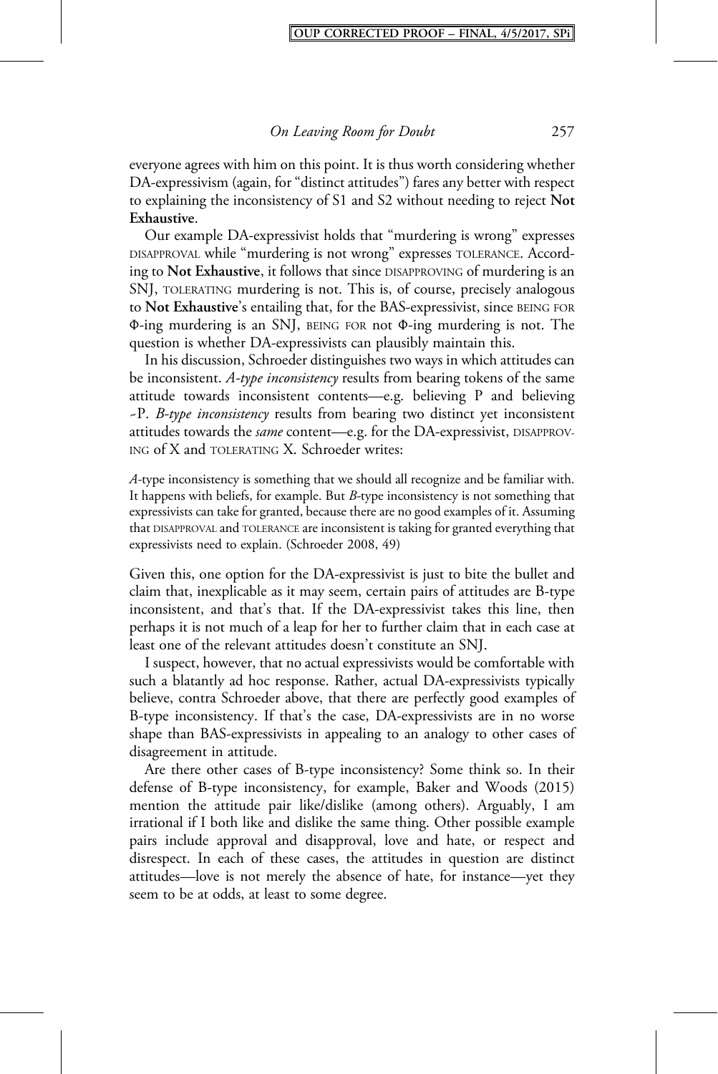everyone agrees with him on this point. It is thus worth considering whether DA-expressivism (again, for "distinct attitudes") fares any better with respect to explaining the inconsistency of S1 and S2 without needing to reject **Not Exhaustive**.

Our example DA-expressivist holds that "murdering is wrong" expresses DISAPPROVAL while "murdering is not wrong" expresses TOLERANCE. According to **Not Exhaustive**, it follows that since DISAPPROVING of murdering is an SNJ, TOLERATING murdering is not. This is, of course, precisely analogous to **Not Exhaustive**'s entailing that, for the BAS-expressivist, since BEING FOR Φ-ing murdering is an SNJ, BEING FOR not Φ-ing murdering is not. The question is whether DA-expressivists can plausibly maintain this.

In his discussion, Schroeder distinguishes two ways in which attitudes can be inconsistent. *A-type inconsistency* results from bearing tokens of the same attitude towards inconsistent contents—e.g. believing P and believing ~P. *B-type inconsistency* results from bearing two distinct yet inconsistent attitudes towards the *same* content—e.g. for the DA-expressivist, DISAPPROV-ING of X and TOLERATING X. Schroeder writes:

*A-*type inconsistency is something that we should all recognize and be familiar with. It happens with beliefs, for example. But *B-*type inconsistency is not something that expressivists can take for granted, because there are no good examples of it. Assuming that DISAPPROVAL and TOLERANCE are inconsistent is taking for granted everything that expressivists need to explain. (Schroeder 2008, 49)

Given this, one option for the DA-expressivist is just to bite the bullet and claim that, inexplicable as it may seem, certain pairs of attitudes are B-type inconsistent, and that's that. If the DA-expressivist takes this line, then perhaps it is not much of a leap for her to further claim that in each case at least one of the relevant attitudes doesn't constitute an SNJ.

I suspect, however, that no actual expressivists would be comfortable with such a blatantly ad hoc response. Rather, actual DA-expressivists typically believe, contra Schroeder above, that there are perfectly good examples of B-type inconsistency. If that's the case, DA-expressivists are in no worse shape than BAS-expressivists in appealing to an analogy to other cases of disagreement in attitude.

Are there other cases of B-type inconsistency? Some think so. In their defense of B-type inconsistency, for example, Baker and Woods (2015) mention the attitude pair like/dislike (among others). Arguably, I am irrational if I both like and dislike the same thing. Other possible example pairs include approval and disapproval, love and hate, or respect and disrespect. In each of these cases, the attitudes in question are distinct attitudes—love is not merely the absence of hate, for instance—yet they seem to be at odds, at least to some degree.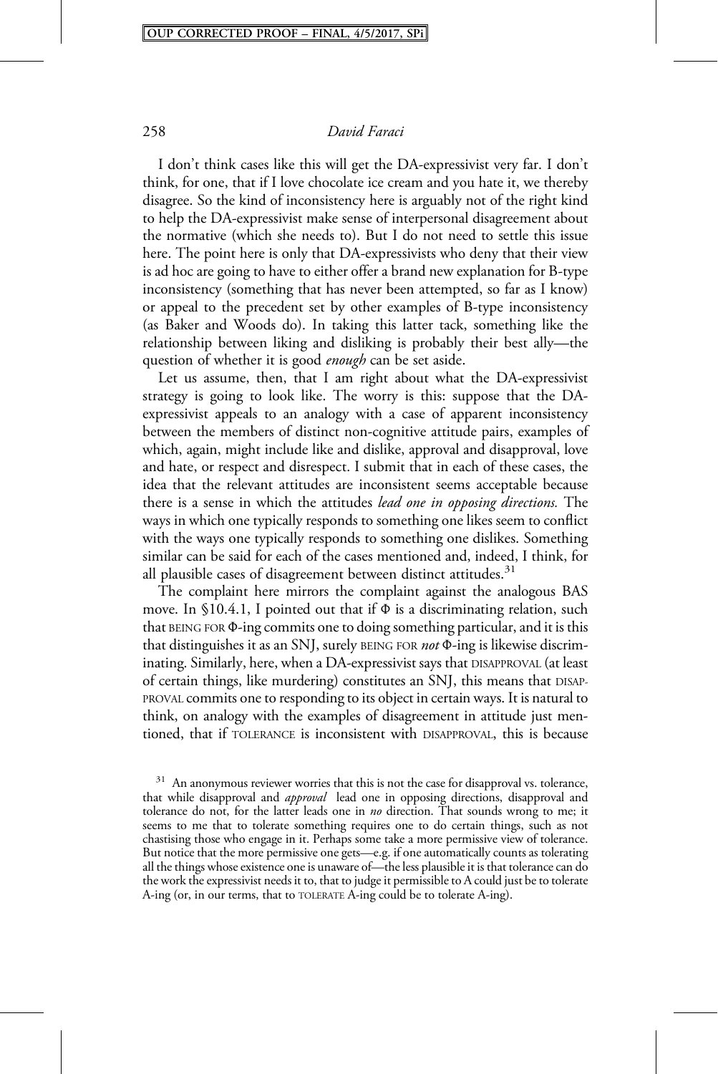#### 258 *David Faraci*

I don't think cases like this will get the DA-expressivist very far. I don't think, for one, that if I love chocolate ice cream and you hate it, we thereby disagree. So the kind of inconsistency here is arguably not of the right kind to help the DA-expressivist make sense of interpersonal disagreement about the normative (which she needs to). But I do not need to settle this issue here. The point here is only that DA-expressivists who deny that their view is ad hoc are going to have to either offer a brand new explanation for B-type inconsistency (something that has never been attempted, so far as I know) or appeal to the precedent set by other examples of B-type inconsistency (as Baker and Woods do). In taking this latter tack, something like the relationship between liking and disliking is probably their best ally—the question of whether it is good *enough* can be set aside.

Let us assume, then, that I am right about what the DA-expressivist strategy is going to look like. The worry is this: suppose that the DAexpressivist appeals to an analogy with a case of apparent inconsistency between the members of distinct non-cognitive attitude pairs, examples of which, again, might include like and dislike, approval and disapproval, love and hate, or respect and disrespect. I submit that in each of these cases, the idea that the relevant attitudes are inconsistent seems acceptable because there is a sense in which the attitudes *lead one in opposing directions.* The ways in which one typically responds to something one likes seem to conflict with the ways one typically responds to something one dislikes. Something similar can be said for each of the cases mentioned and, indeed, I think, for all plausible cases of disagreement between distinct attitudes. $31$ 

The complaint here mirrors the complaint against the analogous BAS move. In §10.4.1, I pointed out that if Φ is a discriminating relation, such that BEING FOR Φ-ing commits one to doing something particular, and it is this that distinguishes it as an SNJ, surely BEING FOR *not* Φ-ing is likewise discriminating. Similarly, here, when a DA-expressivist says that DISAPPROVAL (at least of certain things, like murdering) constitutes an SNJ, this means that DISAP-PROVAL commits one to responding to its object in certain ways. It is natural to think, on analogy with the examples of disagreement in attitude just mentioned, that if TOLERANCE is inconsistent with DISAPPROVAL, this is because

<sup>&</sup>lt;sup>31</sup> An anonymous reviewer worries that this is not the case for disapproval vs. tolerance, that while disapproval and *approval* lead one in opposing directions, disapproval and tolerance do not, for the latter leads one in *no* direction. That sounds wrong to me; it seems to me that to tolerate something requires one to do certain things, such as not chastising those who engage in it. Perhaps some take a more permissive view of tolerance. But notice that the more permissive one gets—e.g. if one automatically counts as tolerating all the things whose existence one is unaware of—the less plausible it is that tolerance can do the work the expressivist needs it to, that to judge it permissible to A could just be to tolerate A-ing (or, in our terms, that to TOLERATE A-ing could be to tolerate A-ing).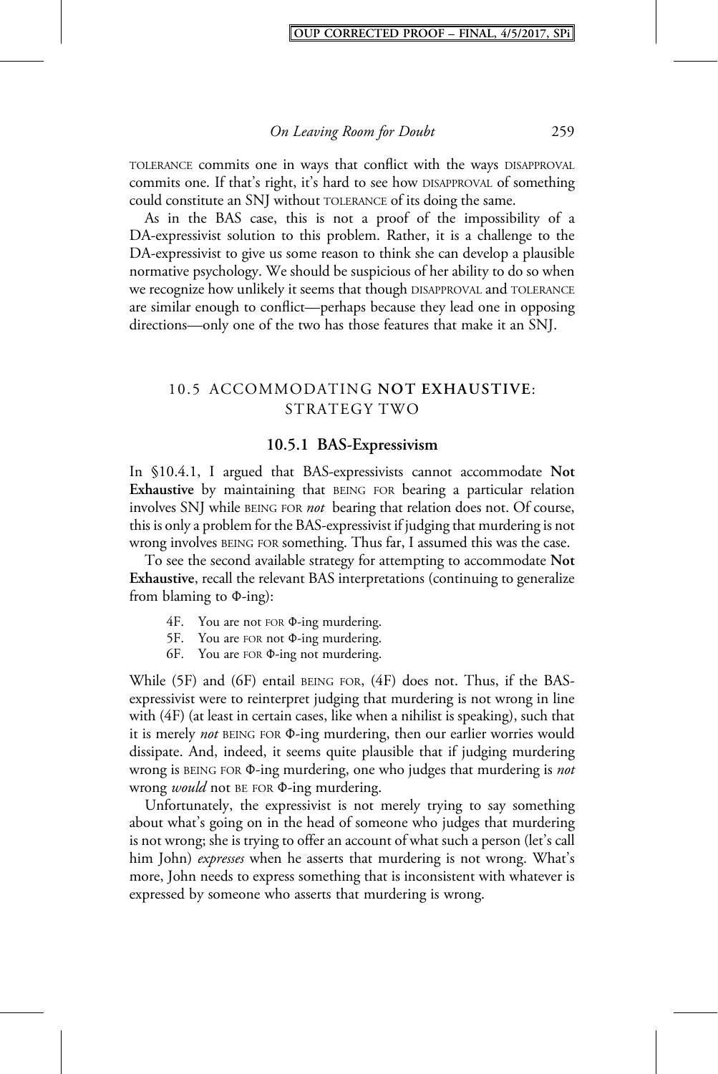TOLERANCE commits one in ways that conflict with the ways DISAPPROVAL commits one. If that's right, it's hard to see how DISAPPROVAL of something could constitute an SNJ without TOLERANCE of its doing the same.

As in the BAS case, this is not a proof of the impossibility of a DA-expressivist solution to this problem. Rather, it is a challenge to the DA-expressivist to give us some reason to think she can develop a plausible normative psychology. We should be suspicious of her ability to do so when we recognize how unlikely it seems that though DISAPPROVAL and TOLERANCE are similar enough to conflict—perhaps because they lead one in opposing directions—only one of the two has those features that make it an SNJ.

#### 10.5 ACCOMMODATING **NOT EXHAUSTIVE**: STRATEGY TWO

#### **10.5.1 BAS-Expressivism**

In §10.4.1, I argued that BAS-expressivists cannot accommodate **Not Exhaustive** by maintaining that BEING FOR bearing a particular relation involves SNJ while BEING FOR *not* bearing that relation does not. Of course, this is only a problem for the BAS-expressivist if judging that murdering is not wrong involves BEING FOR something. Thus far, I assumed this was the case.

To see the second available strategy for attempting to accommodate **Not Exhaustive**, recall the relevant BAS interpretations (continuing to generalize from blaming to Φ-ing):

- 4F. You are not FOR Φ-ing murdering.
- 5F. You are FOR not Φ-ing murdering.
- 6F. You are FOR Φ-ing not murdering.

While (5F) and (6F) entail BEING FOR, (4F) does not. Thus, if the BASexpressivist were to reinterpret judging that murdering is not wrong in line with (4F) (at least in certain cases, like when a nihilist is speaking), such that it is merely *not* BEING FOR Φ-ing murdering, then our earlier worries would dissipate. And, indeed, it seems quite plausible that if judging murdering wrong is BEING FOR Φ-ing murdering, one who judges that murdering is *not* wrong *would* not BE FOR Φ-ing murdering.

Unfortunately, the expressivist is not merely trying to say something about what's going on in the head of someone who judges that murdering is not wrong; she is trying to offer an account of what such a person (let's call him John) *expresses* when he asserts that murdering is not wrong. What's more, John needs to express something that is inconsistent with whatever is expressed by someone who asserts that murdering is wrong.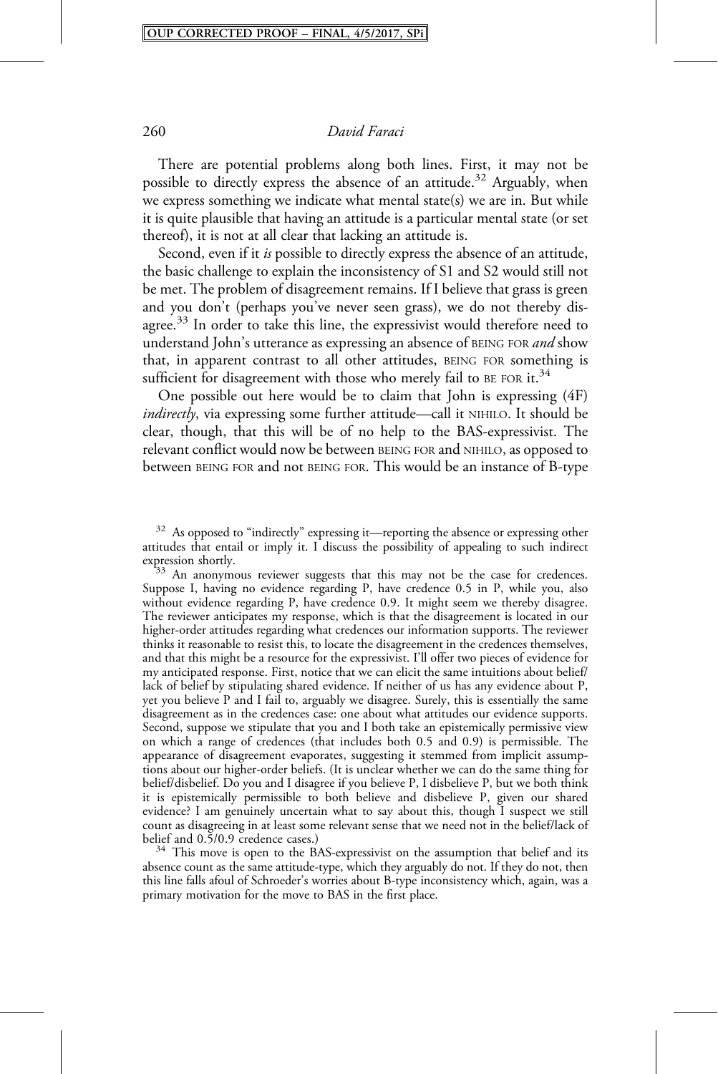#### 260 *David Faraci*

There are potential problems along both lines. First, it may not be possible to directly express the absence of an attitude.<sup>32</sup> Arguably, when we express something we indicate what mental state(s) we are in. But while it is quite plausible that having an attitude is a particular mental state (or set thereof), it is not at all clear that lacking an attitude is.

Second, even if it *is* possible to directly express the absence of an attitude, the basic challenge to explain the inconsistency of S1 and S2 would still not be met. The problem of disagreement remains. If I believe that grass is green and you don't (perhaps you've never seen grass), we do not thereby disagree.<sup>33</sup> In order to take this line, the expressivist would therefore need to understand John's utterance as expressing an absence of BEING FOR *and* show that, in apparent contrast to all other attitudes, BEING FOR something is sufficient for disagreement with those who merely fail to BE FOR it.<sup>34</sup>

One possible out here would be to claim that John is expressing (4F) *indirectly*, via expressing some further attitude—call it NIHILO. It should be clear, though, that this will be of no help to the BAS-expressivist. The relevant conflict would now be between BEING FOR and NIHILO, as opposed to between BEING FOR and not BEING FOR. This would be an instance of B-type

 $32$  As opposed to "indirectly" expressing it—reporting the absence or expressing other attitudes that entail or imply it. I discuss the possibility of appealing to such indirect

<sup>33</sup> An anonymous reviewer suggests that this may not be the case for credences. Suppose I, having no evidence regarding P, have credence 0.5 in P, while you, also without evidence regarding P, have credence 0.9. It might seem we thereby disagree. The reviewer anticipates my response, which is that the disagreement is located in our higher-order attitudes regarding what credences our information supports. The reviewer thinks it reasonable to resist this, to locate the disagreement in the credences themselves, and that this might be a resource for the expressivist. I'll offer two pieces of evidence for my anticipated response. First, notice that we can elicit the same intuitions about belief/ lack of belief by stipulating shared evidence. If neither of us has any evidence about P, yet you believe P and I fail to, arguably we disagree. Surely, this is essentially the same disagreement as in the credences case: one about what attitudes our evidence supports. Second, suppose we stipulate that you and I both take an epistemically permissive view on which a range of credences (that includes both 0.5 and 0.9) is permissible. The appearance of disagreement evaporates, suggesting it stemmed from implicit assumptions about our higher-order beliefs. (It is unclear whether we can do the same thing for belief/disbelief. Do you and I disagree if you believe P, I disbelieve P, but we both think it is epistemically permissible to both believe and disbelieve P, given our shared evidence? I am genuinely uncertain what to say about this, though I suspect we still count as disagreeing in at least some relevant sense that we need not in the belief/lack of

 $34$  This move is open to the BAS-expressivist on the assumption that belief and its absence count as the same attitude-type, which they arguably do not. If they do not, then this line falls afoul of Schroeder's worries about B-type inconsistency which, again, was a primary motivation for the move to BAS in the first place.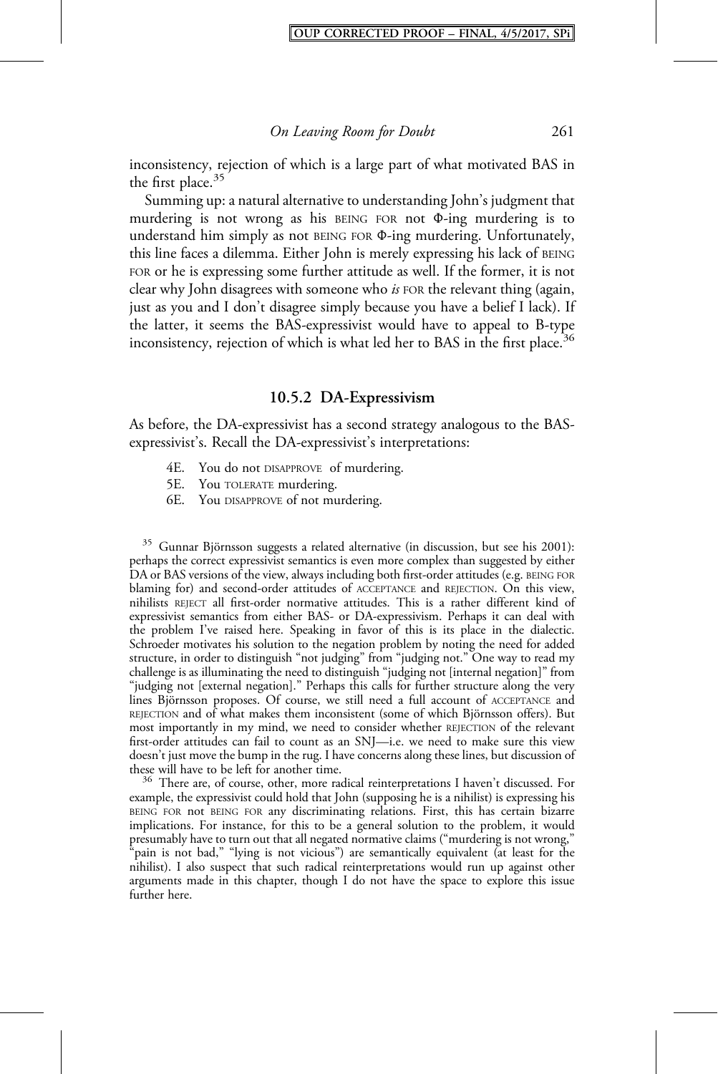inconsistency, rejection of which is a large part of what motivated BAS in the first place.<sup>35</sup>

Summing up: a natural alternative to understanding John's judgment that murdering is not wrong as his BEING FOR not Φ-ing murdering is to understand him simply as not BEING FOR Φ-ing murdering. Unfortunately, this line faces a dilemma. Either John is merely expressing his lack of BEING FOR or he is expressing some further attitude as well. If the former, it is not clear why John disagrees with someone who *is* FOR the relevant thing (again, just as you and I don't disagree simply because you have a belief I lack). If the latter, it seems the BAS-expressivist would have to appeal to B-type inconsistency, rejection of which is what led her to BAS in the first place.<sup>36</sup>

#### **10.5.2 DA-Expressivism**

As before, the DA-expressivist has a second strategy analogous to the BASexpressivist's. Recall the DA-expressivist's interpretations:

- 4E. You do not DISAPPROVE of murdering.
- 5E. You TOLERATE murdering.
- 6E. You DISAPPROVE of not murdering.

<sup>35</sup> Gunnar Björnsson suggests a related alternative (in discussion, but see his 2001): perhaps the correct expressivist semantics is even more complex than suggested by either DA or BAS versions of the view, always including both first-order attitudes (e.g. BEING FOR blaming for) and second-order attitudes of ACCEPTANCE and REJECTION. On this view, nihilists REJECT all first-order normative attitudes. This is a rather different kind of expressivist semantics from either BAS- or DA-expressivism. Perhaps it can deal with the problem I've raised here. Speaking in favor of this is its place in the dialectic. Schroeder motivates his solution to the negation problem by noting the need for added structure, in order to distinguish "not judging" from "judging not." One way to read my challenge is as illuminating the need to distinguish "judging not [internal negation]" from "judging not [external negation]." Perhaps this calls for further structure along the very lines Björnsson proposes. Of course, we still need a full account of ACCEPTANCE and REJECTION and of what makes them inconsistent (some of which Björnsson offers). But most importantly in my mind, we need to consider whether REJECTION of the relevant first-order attitudes can fail to count as an SNJ—i.e. we need to make sure this view doesn't just move the bump in the rug. I have concerns along these lines, but discussion of these will have to be left for another time.

 $36$  There are, of course, other, more radical reinterpretations I haven't discussed. For example, the expressivist could hold that John (supposing he is a nihilist) is expressing his BEING FOR not BEING FOR any discriminating relations. First, this has certain bizarre implications. For instance, for this to be a general solution to the problem, it would presumably have to turn out that all negated normative claims ("murdering is not wrong," pain is not bad," "lying is not vicious") are semantically equivalent (at least for the nihilist). I also suspect that such radical reinterpretations would run up against other arguments made in this chapter, though I do not have the space to explore this issue further here.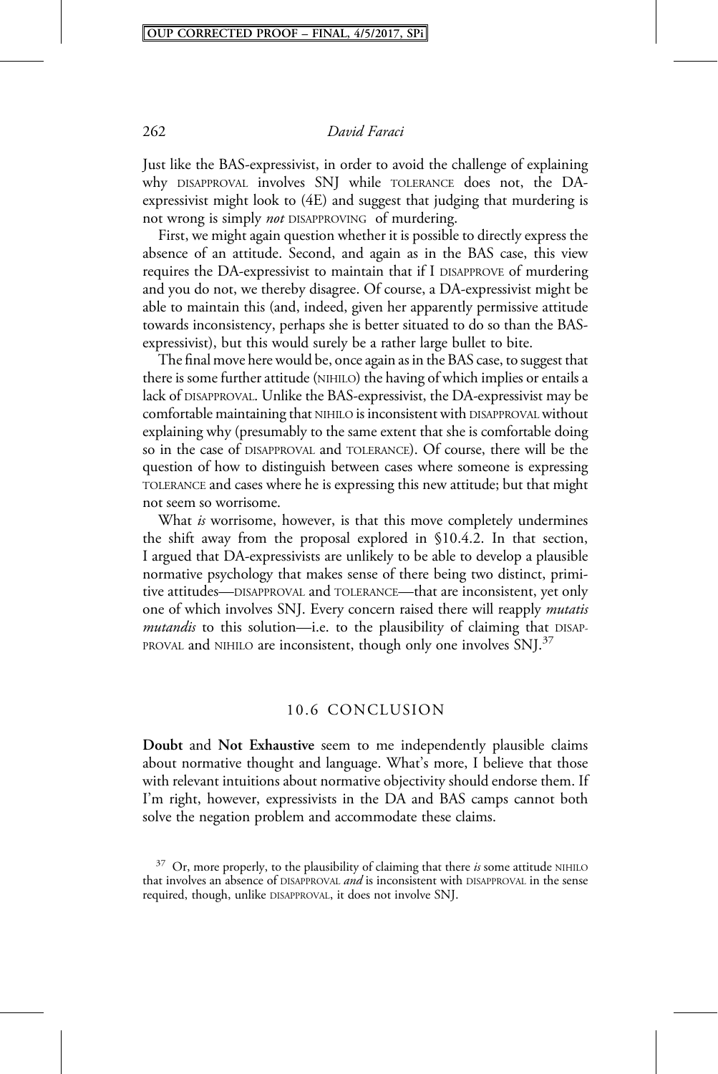Just like the BAS-expressivist, in order to avoid the challenge of explaining why DISAPPROVAL involves SNJ while TOLERANCE does not, the DAexpressivist might look to (4E) and suggest that judging that murdering is not wrong is simply *not* DISAPPROVING of murdering.

First, we might again question whether it is possible to directly express the absence of an attitude. Second, and again as in the BAS case, this view requires the DA-expressivist to maintain that if I DISAPPROVE of murdering and you do not, we thereby disagree. Of course, a DA-expressivist might be able to maintain this (and, indeed, given her apparently permissive attitude towards inconsistency, perhaps she is better situated to do so than the BASexpressivist), but this would surely be a rather large bullet to bite.

The final move here would be, once again as in the BAS case, to suggest that there is some further attitude (NIHILO) the having of which implies or entails a lack of DISAPPROVAL. Unlike the BAS-expressivist, the DA-expressivist may be comfortable maintaining that NIHILO is inconsistent with DISAPPROVAL without explaining why (presumably to the same extent that she is comfortable doing so in the case of DISAPPROVAL and TOLERANCE). Of course, there will be the question of how to distinguish between cases where someone is expressing TOLERANCE and cases where he is expressing this new attitude; but that might not seem so worrisome.

What *is* worrisome, however, is that this move completely undermines the shift away from the proposal explored in §10.4.2. In that section, I argued that DA-expressivists are unlikely to be able to develop a plausible normative psychology that makes sense of there being two distinct, primitive attitudes—DISAPPROVAL and TOLERANCE—that are inconsistent, yet only one of which involves SNJ. Every concern raised there will reapply *mutatis mutandis* to this solution—i.e. to the plausibility of claiming that DISAP-PROVAL and NIHILO are inconsistent, though only one involves SNJ.<sup>37</sup>

#### 10.6 CONCLUSION

**Doubt** and **Not Exhaustive** seem to me independently plausible claims about normative thought and language. What's more, I believe that those with relevant intuitions about normative objectivity should endorse them. If I'm right, however, expressivists in the DA and BAS camps cannot both solve the negation problem and accommodate these claims.

<sup>&</sup>lt;sup>37</sup> Or, more properly, to the plausibility of claiming that there *is* some attitude NIHILO that involves an absence of DISAPPROVAL *and* is inconsistent with DISAPPROVAL in the sense required, though, unlike DISAPPROVAL, it does not involve SNJ.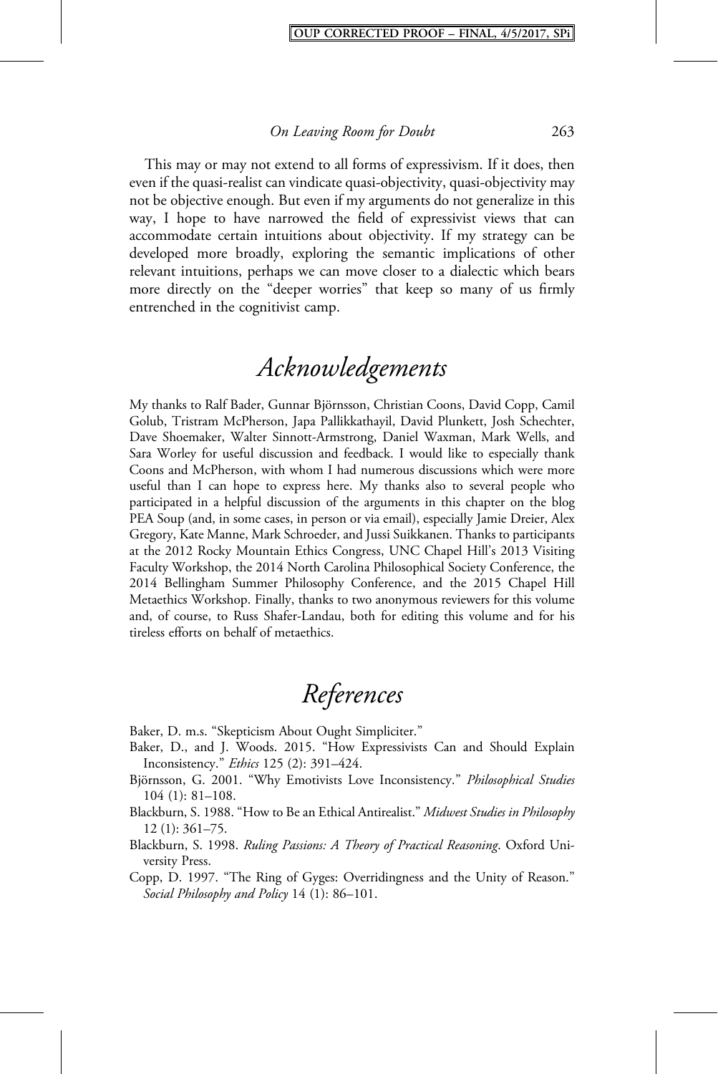This may or may not extend to all forms of expressivism. If it does, then even if the quasi-realist can vindicate quasi-objectivity, quasi-objectivity may not be objective enough. But even if my arguments do not generalize in this way, I hope to have narrowed the field of expressivist views that can accommodate certain intuitions about objectivity. If my strategy can be developed more broadly, exploring the semantic implications of other relevant intuitions, perhaps we can move closer to a dialectic which bears more directly on the "deeper worries" that keep so many of us firmly entrenched in the cognitivist camp.

# *Acknowledgements*

My thanks to Ralf Bader, Gunnar Björnsson, Christian Coons, David Copp, Camil Golub, Tristram McPherson, Japa Pallikkathayil, David Plunkett, Josh Schechter, Dave Shoemaker, Walter Sinnott-Armstrong, Daniel Waxman, Mark Wells, and Sara Worley for useful discussion and feedback. I would like to especially thank Coons and McPherson, with whom I had numerous discussions which were more useful than I can hope to express here. My thanks also to several people who participated in a helpful discussion of the arguments in this chapter on the blog PEA Soup (and, in some cases, in person or via email), especially Jamie Dreier, Alex Gregory, Kate Manne, Mark Schroeder, and Jussi Suikkanen. Thanks to participants at the 2012 Rocky Mountain Ethics Congress, UNC Chapel Hill's 2013 Visiting Faculty Workshop, the 2014 North Carolina Philosophical Society Conference, the 2014 Bellingham Summer Philosophy Conference, and the 2015 Chapel Hill Metaethics Workshop. Finally, thanks to two anonymous reviewers for this volume and, of course, to Russ Shafer-Landau, both for editing this volume and for his tireless efforts on behalf of metaethics.

# *References*

Baker, D. m.s. "Skepticism About Ought Simpliciter."

- Baker, D., and J. Woods. 2015. "How Expressivists Can and Should Explain Inconsistency." *Ethics* 125 (2): 391–424.
- Björnsson, G. 2001. "Why Emotivists Love Inconsistency." *Philosophical Studies* 104 (1): 81–108.
- Blackburn, S. 1988. "How to Be an Ethical Antirealist." *Midwest Studies in Philosophy* 12 (1): 361–75.
- Blackburn, S. 1998. *Ruling Passions: A Theory of Practical Reasoning*. Oxford University Press.
- Copp, D. 1997. "The Ring of Gyges: Overridingness and the Unity of Reason." *Social Philosophy and Policy* 14 (1): 86–101.